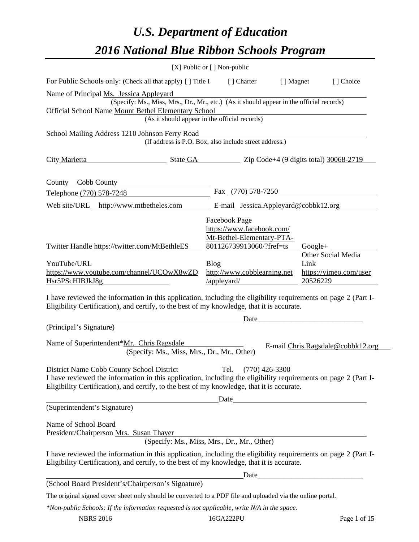# *U.S. Department of Education 2016 National Blue Ribbon Schools Program*

|                                                                                                                                                                                                                                                           | [X] Public or [] Non-public                                                                                                                       |                   |                                              |
|-----------------------------------------------------------------------------------------------------------------------------------------------------------------------------------------------------------------------------------------------------------|---------------------------------------------------------------------------------------------------------------------------------------------------|-------------------|----------------------------------------------|
| For Public Schools only: (Check all that apply) [] Title I                                                                                                                                                                                                | [] Charter                                                                                                                                        | [ ] Magnet        | [] Choice                                    |
| Name of Principal Ms. Jessica Appleyard<br>(Specify: Ms., Miss, Mrs., Dr., Mr., etc.) (As it should appear in the official records)<br>Official School Name Mount Bethel Elementary School                                                                | (As it should appear in the official records)                                                                                                     |                   |                                              |
| School Mailing Address 1210 Johnson Ferry Road                                                                                                                                                                                                            |                                                                                                                                                   |                   |                                              |
|                                                                                                                                                                                                                                                           | (If address is P.O. Box, also include street address.)                                                                                            |                   |                                              |
| City Marietta                                                                                                                                                                                                                                             | State GA Zip Code+4 (9 digits total) 30068-2719                                                                                                   |                   |                                              |
| County_Cobb County                                                                                                                                                                                                                                        |                                                                                                                                                   |                   |                                              |
| Telephone (770) 578-7248                                                                                                                                                                                                                                  | Fax (770) 578-7250                                                                                                                                |                   |                                              |
| Web site/URL http://www.mtbetheles.com                                                                                                                                                                                                                    | E-mail_Jessica.Appleyard@cobbk12.org                                                                                                              |                   |                                              |
| Twitter Handle https://twitter.com/MtBethleES<br>YouTube/URL<br>https://www.youtube.com/channel/UCQwX8wZD                                                                                                                                                 | Facebook Page<br>https://www.facebook.com/<br>Mt-Bethel-Elementary-PTA-<br>801126739913060/?fref=ts<br><b>Blog</b><br>http://www.cobblearning.net | $Google+$<br>Link | Other Social Media<br>https://vimeo.com/user |
| Hsr5PScHIBJkJ8g                                                                                                                                                                                                                                           | $\angle$ appleyard $\angle$                                                                                                                       | 20526229          |                                              |
| I have reviewed the information in this application, including the eligibility requirements on page 2 (Part I-<br>Eligibility Certification), and certify, to the best of my knowledge, that it is accurate.                                              | Date                                                                                                                                              |                   |                                              |
| (Principal's Signature)                                                                                                                                                                                                                                   |                                                                                                                                                   |                   |                                              |
| Name of Superintendent*Mr. Chris Ragsdale<br>(Specify: Ms., Miss, Mrs., Dr., Mr., Other)                                                                                                                                                                  |                                                                                                                                                   |                   | E-mail Chris.Ragsdale@cobbk12.org            |
| District Name Cobb County School District<br>I have reviewed the information in this application, including the eligibility requirements on page 2 (Part I-<br>Eligibility Certification), and certify, to the best of my knowledge, that it is accurate. | Tel. (770) 426-3300                                                                                                                               |                   |                                              |
|                                                                                                                                                                                                                                                           |                                                                                                                                                   |                   |                                              |
| (Superintendent's Signature)                                                                                                                                                                                                                              |                                                                                                                                                   |                   |                                              |
| Name of School Board<br>President/Chairperson Mrs. Susan Thayer                                                                                                                                                                                           | an 1 nayer<br>(Specify: Ms., Miss, Mrs., Dr., Mr., Other)                                                                                         |                   |                                              |
| I have reviewed the information in this application, including the eligibility requirements on page 2 (Part I-<br>Eligibility Certification), and certify, to the best of my knowledge, that it is accurate.                                              |                                                                                                                                                   |                   |                                              |
| (School Board President's/Chairperson's Signature)                                                                                                                                                                                                        |                                                                                                                                                   |                   |                                              |
|                                                                                                                                                                                                                                                           |                                                                                                                                                   |                   |                                              |
| The original signed cover sheet only should be converted to a PDF file and uploaded via the online portal.                                                                                                                                                |                                                                                                                                                   |                   |                                              |
| *Non-public Schools: If the information requested is not applicable, write N/A in the space.                                                                                                                                                              |                                                                                                                                                   |                   |                                              |

NBRS 2016 16GA222PU Page 1 of 15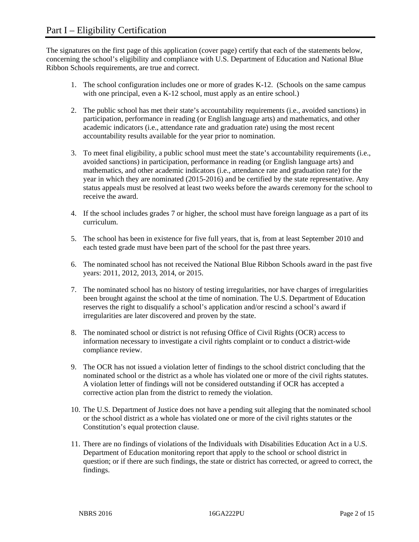The signatures on the first page of this application (cover page) certify that each of the statements below, concerning the school's eligibility and compliance with U.S. Department of Education and National Blue Ribbon Schools requirements, are true and correct.

- 1. The school configuration includes one or more of grades K-12. (Schools on the same campus with one principal, even a K-12 school, must apply as an entire school.)
- 2. The public school has met their state's accountability requirements (i.e., avoided sanctions) in participation, performance in reading (or English language arts) and mathematics, and other academic indicators (i.e., attendance rate and graduation rate) using the most recent accountability results available for the year prior to nomination.
- 3. To meet final eligibility, a public school must meet the state's accountability requirements (i.e., avoided sanctions) in participation, performance in reading (or English language arts) and mathematics, and other academic indicators (i.e., attendance rate and graduation rate) for the year in which they are nominated (2015-2016) and be certified by the state representative. Any status appeals must be resolved at least two weeks before the awards ceremony for the school to receive the award.
- 4. If the school includes grades 7 or higher, the school must have foreign language as a part of its curriculum.
- 5. The school has been in existence for five full years, that is, from at least September 2010 and each tested grade must have been part of the school for the past three years.
- 6. The nominated school has not received the National Blue Ribbon Schools award in the past five years: 2011, 2012, 2013, 2014, or 2015.
- 7. The nominated school has no history of testing irregularities, nor have charges of irregularities been brought against the school at the time of nomination. The U.S. Department of Education reserves the right to disqualify a school's application and/or rescind a school's award if irregularities are later discovered and proven by the state.
- 8. The nominated school or district is not refusing Office of Civil Rights (OCR) access to information necessary to investigate a civil rights complaint or to conduct a district-wide compliance review.
- 9. The OCR has not issued a violation letter of findings to the school district concluding that the nominated school or the district as a whole has violated one or more of the civil rights statutes. A violation letter of findings will not be considered outstanding if OCR has accepted a corrective action plan from the district to remedy the violation.
- 10. The U.S. Department of Justice does not have a pending suit alleging that the nominated school or the school district as a whole has violated one or more of the civil rights statutes or the Constitution's equal protection clause.
- 11. There are no findings of violations of the Individuals with Disabilities Education Act in a U.S. Department of Education monitoring report that apply to the school or school district in question; or if there are such findings, the state or district has corrected, or agreed to correct, the findings.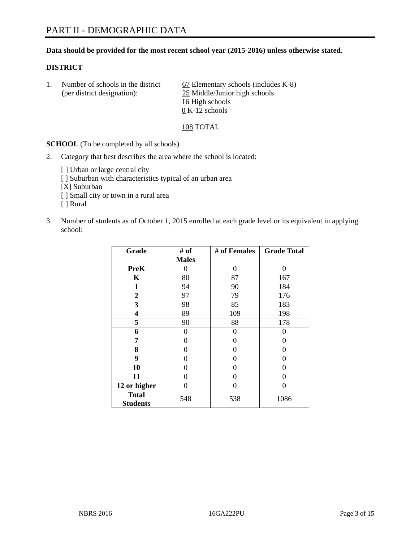#### **Data should be provided for the most recent school year (2015-2016) unless otherwise stated.**

#### **DISTRICT**

1. Number of schools in the district  $\qquad 67$  Elementary schools (includes K-8) (per district designation): 25 Middle/Junior high schools 16 High schools 0 K-12 schools

#### 108 TOTAL

**SCHOOL** (To be completed by all schools)

- 2. Category that best describes the area where the school is located:
	- [] Urban or large central city [ ] Suburban with characteristics typical of an urban area [X] Suburban [ ] Small city or town in a rural area [ ] Rural
- 3. Number of students as of October 1, 2015 enrolled at each grade level or its equivalent in applying school:

| Grade                           | # of         | # of Females | <b>Grade Total</b> |
|---------------------------------|--------------|--------------|--------------------|
|                                 | <b>Males</b> |              |                    |
| <b>PreK</b>                     | 0            | 0            | 0                  |
| $\mathbf K$                     | 80           | 87           | 167                |
| 1                               | 94           | 90           | 184                |
| $\overline{2}$                  | 97           | 79           | 176                |
| 3                               | 98           | 85           | 183                |
| 4                               | 89           | 109          | 198                |
| 5                               | 90           | 88           | 178                |
| 6                               | $\theta$     | $\theta$     | 0                  |
| 7                               | 0            | 0            | 0                  |
| 8                               | 0            | $\theta$     | 0                  |
| 9                               | 0            | 0            | $\theta$           |
| 10                              | 0            | 0            | $\Omega$           |
| 11                              | 0            | 0            | 0                  |
| 12 or higher                    | 0            | 0            | 0                  |
| <b>Total</b><br><b>Students</b> | 548          | 538          | 1086               |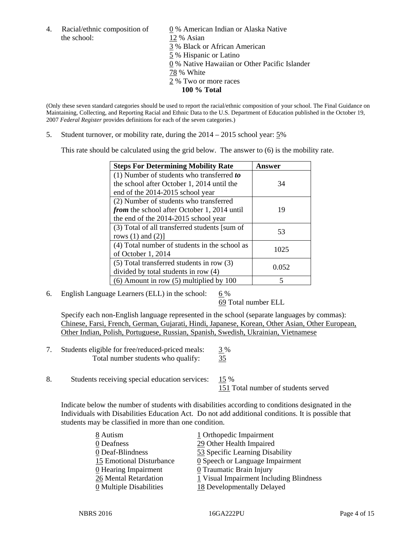the school: 12 % Asian

4. Racial/ethnic composition of  $\qquad 0 \%$  American Indian or Alaska Native 3 % Black or African American 5 % Hispanic or Latino 0 % Native Hawaiian or Other Pacific Islander 78 % White 2 % Two or more races **100 % Total** 

(Only these seven standard categories should be used to report the racial/ethnic composition of your school. The Final Guidance on Maintaining, Collecting, and Reporting Racial and Ethnic Data to the U.S. Department of Education published in the October 19, 2007 *Federal Register* provides definitions for each of the seven categories.)

5. Student turnover, or mobility rate, during the 2014 – 2015 school year: 5%

This rate should be calculated using the grid below. The answer to (6) is the mobility rate.

| <b>Steps For Determining Mobility Rate</b>         | Answer |  |
|----------------------------------------------------|--------|--|
| (1) Number of students who transferred to          |        |  |
| the school after October 1, 2014 until the         | 34     |  |
| end of the 2014-2015 school year                   |        |  |
| (2) Number of students who transferred             |        |  |
| <i>from</i> the school after October 1, 2014 until | 19     |  |
| the end of the 2014-2015 school year               |        |  |
| (3) Total of all transferred students [sum of      | 53     |  |
| rows $(1)$ and $(2)$ ]                             |        |  |
| (4) Total number of students in the school as      | 1025   |  |
| of October 1, 2014                                 |        |  |
| (5) Total transferred students in row (3)          | 0.052  |  |
| divided by total students in row (4)               |        |  |
| $(6)$ Amount in row $(5)$ multiplied by 100        | 5      |  |

6. English Language Learners (ELL) in the school:  $6\%$ 

69 Total number ELL

 Specify each non-English language represented in the school (separate languages by commas): Chinese, Farsi, French, German, Gujarati, Hindi, Japanese, Korean, Other Asian, Other European, Other Indian, Polish, Portuguese, Russian, Spanish, Swedish, Ukrainian, Vietnamese

- 7. Students eligible for free/reduced-priced meals: 3 % Total number students who qualify: 35
- 8. Students receiving special education services: 15 % 151 Total number of students served

Indicate below the number of students with disabilities according to conditions designated in the Individuals with Disabilities Education Act. Do not add additional conditions. It is possible that students may be classified in more than one condition.

| 8 Autism                              | 1 Orthopedic Impairment                       |
|---------------------------------------|-----------------------------------------------|
| 0 Deafness                            | 29 Other Health Impaired                      |
| 0 Deaf-Blindness                      | 53 Specific Learning Disability               |
| 15 Emotional Disturbance              | $\underline{0}$ Speech or Language Impairment |
| $0$ Hearing Impairment                | $Q$ Traumatic Brain Injury                    |
| 26 Mental Retardation                 | 1 Visual Impairment Including Blindness       |
| $\underline{0}$ Multiple Disabilities | 18 Developmentally Delayed                    |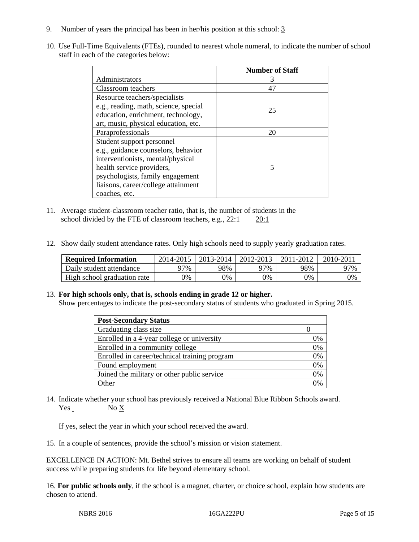- 9. Number of years the principal has been in her/his position at this school: 3
- 10. Use Full-Time Equivalents (FTEs), rounded to nearest whole numeral, to indicate the number of school staff in each of the categories below:

|                                       | <b>Number of Staff</b> |
|---------------------------------------|------------------------|
| Administrators                        |                        |
| Classroom teachers                    | 47                     |
| Resource teachers/specialists         |                        |
| e.g., reading, math, science, special | 25                     |
| education, enrichment, technology,    |                        |
| art, music, physical education, etc.  |                        |
| Paraprofessionals                     | 20                     |
| Student support personnel             |                        |
| e.g., guidance counselors, behavior   |                        |
| interventionists, mental/physical     |                        |
| health service providers,             | 5                      |
| psychologists, family engagement      |                        |
| liaisons, career/college attainment   |                        |
| coaches, etc.                         |                        |

- 11. Average student-classroom teacher ratio, that is, the number of students in the school divided by the FTE of classroom teachers, e.g., 22:1 20:1
- 12. Show daily student attendance rates. Only high schools need to supply yearly graduation rates.

| <b>Required Information</b> | 2014-2015 | 2013-2014 | 2012-2013 | 2011-2012 | $2010 - 201$ . |
|-----------------------------|-----------|-----------|-----------|-----------|----------------|
| Daily student attendance    | 97%       | 98%       | 77%       | 98%       | 97%            |
| High school graduation rate | 9%        | 0%        | 0%        | 9%        | 0%             |

#### 13. **For high schools only, that is, schools ending in grade 12 or higher.**

Show percentages to indicate the post-secondary status of students who graduated in Spring 2015.

| <b>Post-Secondary Status</b>                  |    |
|-----------------------------------------------|----|
| Graduating class size                         |    |
| Enrolled in a 4-year college or university    | 0% |
| Enrolled in a community college               | 0% |
| Enrolled in career/technical training program | 0% |
| Found employment                              | 0% |
| Joined the military or other public service   | 0% |
| <b>Other</b>                                  | ገ% |

14. Indicate whether your school has previously received a National Blue Ribbon Schools award. Yes No X

If yes, select the year in which your school received the award.

15. In a couple of sentences, provide the school's mission or vision statement.

EXCELLENCE IN ACTION: Mt. Bethel strives to ensure all teams are working on behalf of student success while preparing students for life beyond elementary school.

16. **For public schools only**, if the school is a magnet, charter, or choice school, explain how students are chosen to attend.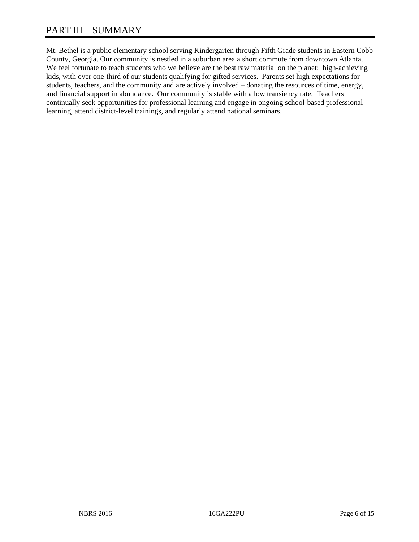# PART III – SUMMARY

Mt. Bethel is a public elementary school serving Kindergarten through Fifth Grade students in Eastern Cobb County, Georgia. Our community is nestled in a suburban area a short commute from downtown Atlanta. We feel fortunate to teach students who we believe are the best raw material on the planet: high-achieving kids, with over one-third of our students qualifying for gifted services. Parents set high expectations for students, teachers, and the community and are actively involved – donating the resources of time, energy, and financial support in abundance. Our community is stable with a low transiency rate. Teachers continually seek opportunities for professional learning and engage in ongoing school-based professional learning, attend district-level trainings, and regularly attend national seminars.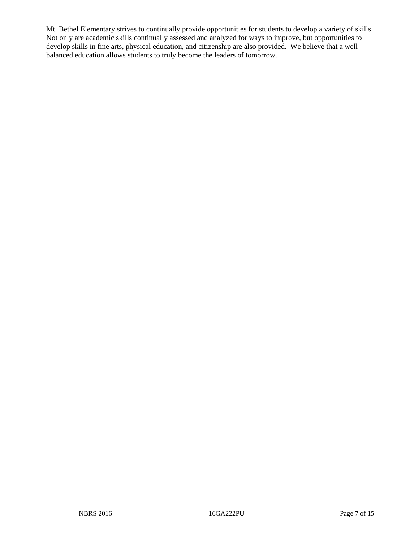Mt. Bethel Elementary strives to continually provide opportunities for students to develop a variety of skills. Not only are academic skills continually assessed and analyzed for ways to improve, but opportunities to develop skills in fine arts, physical education, and citizenship are also provided. We believe that a wellbalanced education allows students to truly become the leaders of tomorrow.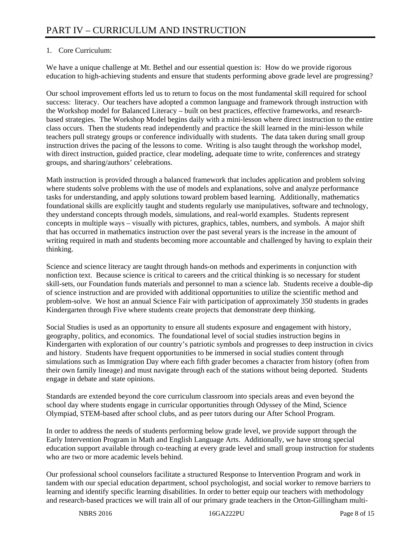# 1. Core Curriculum:

We have a unique challenge at Mt. Bethel and our essential question is: How do we provide rigorous education to high-achieving students and ensure that students performing above grade level are progressing?

Our school improvement efforts led us to return to focus on the most fundamental skill required for school success: literacy. Our teachers have adopted a common language and framework through instruction with the Workshop model for Balanced Literacy – built on best practices, effective frameworks, and researchbased strategies. The Workshop Model begins daily with a mini-lesson where direct instruction to the entire class occurs. Then the students read independently and practice the skill learned in the mini-lesson while teachers pull strategy groups or conference individually with students. The data taken during small group instruction drives the pacing of the lessons to come. Writing is also taught through the workshop model, with direct instruction, guided practice, clear modeling, adequate time to write, conferences and strategy groups, and sharing/authors' celebrations.

Math instruction is provided through a balanced framework that includes application and problem solving where students solve problems with the use of models and explanations, solve and analyze performance tasks for understanding, and apply solutions toward problem based learning. Additionally, mathematics foundational skills are explicitly taught and students regularly use manipulatives, software and technology, they understand concepts through models, simulations, and real-world examples. Students represent concepts in multiple ways – visually with pictures, graphics, tables, numbers, and symbols. A major shift that has occurred in mathematics instruction over the past several years is the increase in the amount of writing required in math and students becoming more accountable and challenged by having to explain their thinking.

Science and science literacy are taught through hands-on methods and experiments in conjunction with nonfiction text. Because science is critical to careers and the critical thinking is so necessary for student skill-sets, our Foundation funds materials and personnel to man a science lab. Students receive a double-dip of science instruction and are provided with additional opportunities to utilize the scientific method and problem-solve. We host an annual Science Fair with participation of approximately 350 students in grades Kindergarten through Five where students create projects that demonstrate deep thinking.

Social Studies is used as an opportunity to ensure all students exposure and engagement with history, geography, politics, and economics. The foundational level of social studies instruction begins in Kindergarten with exploration of our country's patriotic symbols and progresses to deep instruction in civics and history. Students have frequent opportunities to be immersed in social studies content through simulations such as Immigration Day where each fifth grader becomes a character from history (often from their own family lineage) and must navigate through each of the stations without being deported. Students engage in debate and state opinions.

Standards are extended beyond the core curriculum classroom into specials areas and even beyond the school day where students engage in curricular opportunities through Odyssey of the Mind, Science Olympiad, STEM-based after school clubs, and as peer tutors during our After School Program.

In order to address the needs of students performing below grade level, we provide support through the Early Intervention Program in Math and English Language Arts. Additionally, we have strong special education support available through co-teaching at every grade level and small group instruction for students who are two or more academic levels behind.

Our professional school counselors facilitate a structured Response to Intervention Program and work in tandem with our special education department, school psychologist, and social worker to remove barriers to learning and identify specific learning disabilities. In order to better equip our teachers with methodology and research-based practices we will train all of our primary grade teachers in the Orton-Gillingham multi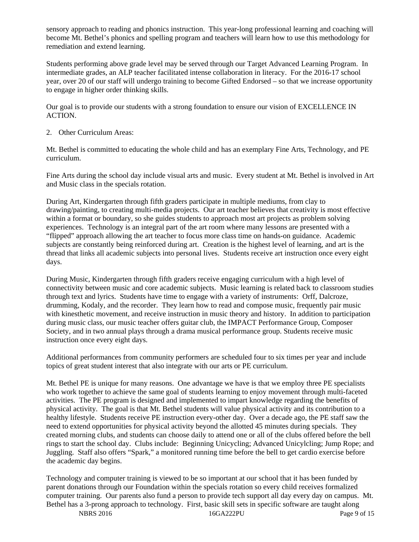sensory approach to reading and phonics instruction. This year-long professional learning and coaching will become Mt. Bethel's phonics and spelling program and teachers will learn how to use this methodology for remediation and extend learning.

Students performing above grade level may be served through our Target Advanced Learning Program. In intermediate grades, an ALP teacher facilitated intense collaboration in literacy. For the 2016-17 school year, over 20 of our staff will undergo training to become Gifted Endorsed – so that we increase opportunity to engage in higher order thinking skills.

Our goal is to provide our students with a strong foundation to ensure our vision of EXCELLENCE IN ACTION.

2. Other Curriculum Areas:

Mt. Bethel is committed to educating the whole child and has an exemplary Fine Arts, Technology, and PE curriculum.

Fine Arts during the school day include visual arts and music. Every student at Mt. Bethel is involved in Art and Music class in the specials rotation.

During Art, Kindergarten through fifth graders participate in multiple mediums, from clay to drawing/painting, to creating multi-media projects. Our art teacher believes that creativity is most effective within a format or boundary, so she guides students to approach most art projects as problem solving experiences. Technology is an integral part of the art room where many lessons are presented with a "flipped" approach allowing the art teacher to focus more class time on hands-on guidance. Academic subjects are constantly being reinforced during art. Creation is the highest level of learning, and art is the thread that links all academic subjects into personal lives. Students receive art instruction once every eight days.

During Music, Kindergarten through fifth graders receive engaging curriculum with a high level of connectivity between music and core academic subjects. Music learning is related back to classroom studies through text and lyrics. Students have time to engage with a variety of instruments: Orff, Dalcroze, drumming, Kodaly, and the recorder. They learn how to read and compose music, frequently pair music with kinesthetic movement, and receive instruction in music theory and history. In addition to participation during music class, our music teacher offers guitar club, the IMPACT Performance Group, Composer Society, and in two annual plays through a drama musical performance group. Students receive music instruction once every eight days.

Additional performances from community performers are scheduled four to six times per year and include topics of great student interest that also integrate with our arts or PE curriculum.

Mt. Bethel PE is unique for many reasons. One advantage we have is that we employ three PE specialists who work together to achieve the same goal of students learning to enjoy movement through multi-faceted activities. The PE program is designed and implemented to impart knowledge regarding the benefits of physical activity. The goal is that Mt. Bethel students will value physical activity and its contribution to a healthy lifestyle. Students receive PE instruction every-other day. Over a decade ago, the PE staff saw the need to extend opportunities for physical activity beyond the allotted 45 minutes during specials. They created morning clubs, and students can choose daily to attend one or all of the clubs offered before the bell rings to start the school day. Clubs include: Beginning Unicycling; Advanced Unicylcling; Jump Rope; and Juggling. Staff also offers "Spark," a monitored running time before the bell to get cardio exercise before the academic day begins.

Technology and computer training is viewed to be so important at our school that it has been funded by parent donations through our Foundation within the specials rotation so every child receives formalized computer training. Our parents also fund a person to provide tech support all day every day on campus. Mt. Bethel has a 3-prong approach to technology. First, basic skill sets in specific software are taught along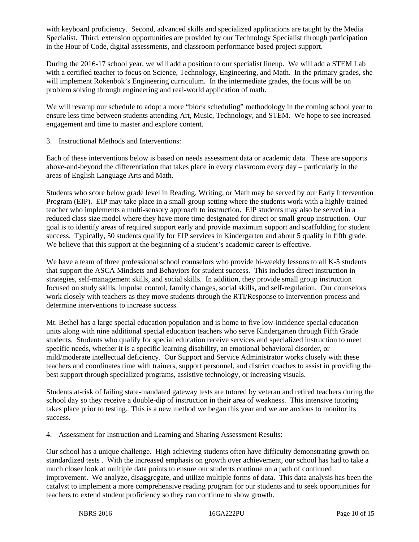with keyboard proficiency. Second, advanced skills and specialized applications are taught by the Media Specialist. Third, extension opportunities are provided by our Technology Specialist through participation in the Hour of Code, digital assessments, and classroom performance based project support.

During the 2016-17 school year, we will add a position to our specialist lineup. We will add a STEM Lab with a certified teacher to focus on Science, Technology, Engineering, and Math. In the primary grades, she will implement Rokenbok's Engineering curriculum. In the intermediate grades, the focus will be on problem solving through engineering and real-world application of math.

We will revamp our schedule to adopt a more "block scheduling" methodology in the coming school year to ensure less time between students attending Art, Music, Technology, and STEM. We hope to see increased engagement and time to master and explore content.

3. Instructional Methods and Interventions:

Each of these interventions below is based on needs assessment data or academic data. These are supports above-and-beyond the differentiation that takes place in every classroom every day – particularly in the areas of English Language Arts and Math.

Students who score below grade level in Reading, Writing, or Math may be served by our Early Intervention Program (EIP). EIP may take place in a small-group setting where the students work with a highly-trained teacher who implements a multi-sensory approach to instruction. EIP students may also be served in a reduced class size model where they have more time designated for direct or small group instruction. Our goal is to identify areas of required support early and provide maximum support and scaffolding for student success. Typically, 50 students qualify for EIP services in Kindergarten and about 5 qualify in fifth grade. We believe that this support at the beginning of a student's academic career is effective.

We have a team of three professional school counselors who provide bi-weekly lessons to all K-5 students that support the ASCA Mindsets and Behaviors for student success. This includes direct instruction in strategies, self-management skills, and social skills. In addition, they provide small group instruction focused on study skills, impulse control, family changes, social skills, and self-regulation. Our counselors work closely with teachers as they move students through the RTI/Response to Intervention process and determine interventions to increase success.

Mt. Bethel has a large special education population and is home to five low-incidence special education units along with nine additional special education teachers who serve Kindergarten through Fifth Grade students. Students who qualify for special education receive services and specialized instruction to meet specific needs, whether it is a specific learning disability, an emotional behavioral disorder, or mild/moderate intellectual deficiency. Our Support and Service Administrator works closely with these teachers and coordinates time with trainers, support personnel, and district coaches to assist in providing the best support through specialized programs, assistive technology, or increasing visuals.

Students at-risk of failing state-mandated gateway tests are tutored by veteran and retired teachers during the school day so they receive a double-dip of instruction in their area of weakness. This intensive tutoring takes place prior to testing. This is a new method we began this year and we are anxious to monitor its success.

4. Assessment for Instruction and Learning and Sharing Assessment Results:

Our school has a unique challenge. High achieving students often have difficulty demonstrating growth on standardized tests . With the increased emphasis on growth over achievement, our school has had to take a much closer look at multiple data points to ensure our students continue on a path of continued improvement. We analyze, disaggregate, and utilize multiple forms of data. This data analysis has been the catalyst to implement a more comprehensive reading program for our students and to seek opportunities for teachers to extend student proficiency so they can continue to show growth.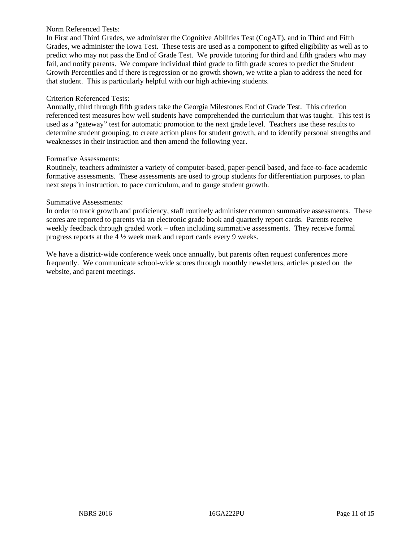#### Norm Referenced Tests:

In First and Third Grades, we administer the Cognitive Abilities Test (CogAT), and in Third and Fifth Grades, we administer the Iowa Test. These tests are used as a component to gifted eligibility as well as to predict who may not pass the End of Grade Test. We provide tutoring for third and fifth graders who may fail, and notify parents. We compare individual third grade to fifth grade scores to predict the Student Growth Percentiles and if there is regression or no growth shown, we write a plan to address the need for that student. This is particularly helpful with our high achieving students.

#### Criterion Referenced Tests:

Annually, third through fifth graders take the Georgia Milestones End of Grade Test. This criterion referenced test measures how well students have comprehended the curriculum that was taught. This test is used as a "gateway" test for automatic promotion to the next grade level. Teachers use these results to determine student grouping, to create action plans for student growth, and to identify personal strengths and weaknesses in their instruction and then amend the following year.

#### Formative Assessments:

Routinely, teachers administer a variety of computer-based, paper-pencil based, and face-to-face academic formative assessments. These assessments are used to group students for differentiation purposes, to plan next steps in instruction, to pace curriculum, and to gauge student growth.

#### Summative Assessments:

In order to track growth and proficiency, staff routinely administer common summative assessments. These scores are reported to parents via an electronic grade book and quarterly report cards. Parents receive weekly feedback through graded work – often including summative assessments. They receive formal progress reports at the 4 ½ week mark and report cards every 9 weeks.

We have a district-wide conference week once annually, but parents often request conferences more frequently. We communicate school-wide scores through monthly newsletters, articles posted on the website, and parent meetings.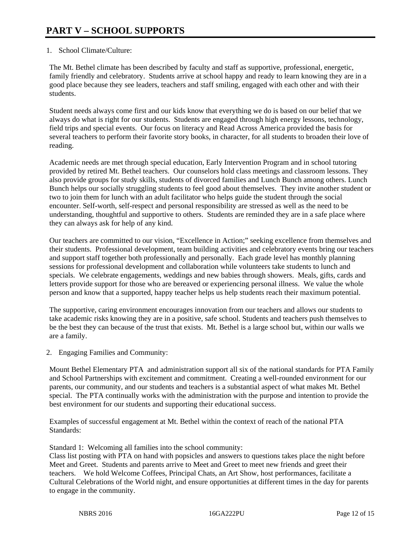## 1. School Climate/Culture:

The Mt. Bethel climate has been described by faculty and staff as supportive, professional, energetic, family friendly and celebratory. Students arrive at school happy and ready to learn knowing they are in a good place because they see leaders, teachers and staff smiling, engaged with each other and with their students.

Student needs always come first and our kids know that everything we do is based on our belief that we always do what is right for our students. Students are engaged through high energy lessons, technology, field trips and special events. Our focus on literacy and Read Across America provided the basis for several teachers to perform their favorite story books, in character, for all students to broaden their love of reading.

Academic needs are met through special education, Early Intervention Program and in school tutoring provided by retired Mt. Bethel teachers. Our counselors hold class meetings and classroom lessons. They also provide groups for study skills, students of divorced families and Lunch Bunch among others. Lunch Bunch helps our socially struggling students to feel good about themselves. They invite another student or two to join them for lunch with an adult facilitator who helps guide the student through the social encounter. Self-worth, self-respect and personal responsibility are stressed as well as the need to be understanding, thoughtful and supportive to others. Students are reminded they are in a safe place where they can always ask for help of any kind.

Our teachers are committed to our vision, "Excellence in Action;" seeking excellence from themselves and their students. Professional development, team building activities and celebratory events bring our teachers and support staff together both professionally and personally. Each grade level has monthly planning sessions for professional development and collaboration while volunteers take students to lunch and specials. We celebrate engagements, weddings and new babies through showers. Meals, gifts, cards and letters provide support for those who are bereaved or experiencing personal illness. We value the whole person and know that a supported, happy teacher helps us help students reach their maximum potential.

The supportive, caring environment encourages innovation from our teachers and allows our students to take academic risks knowing they are in a positive, safe school. Students and teachers push themselves to be the best they can because of the trust that exists. Mt. Bethel is a large school but, within our walls we are a family.

2. Engaging Families and Community:

Mount Bethel Elementary PTA and administration support all six of the national standards for PTA Family and School Partnerships with excitement and commitment. Creating a well-rounded environment for our parents, our community, and our students and teachers is a substantial aspect of what makes Mt. Bethel special. The PTA continually works with the administration with the purpose and intention to provide the best environment for our students and supporting their educational success.

Examples of successful engagement at Mt. Bethel within the context of reach of the national PTA Standards:

Standard 1: Welcoming all families into the school community:

Class list posting with PTA on hand with popsicles and answers to questions takes place the night before Meet and Greet. Students and parents arrive to Meet and Greet to meet new friends and greet their teachers. We hold Welcome Coffees, Principal Chats, an Art Show, host performances, facilitate a Cultural Celebrations of the World night, and ensure opportunities at different times in the day for parents to engage in the community.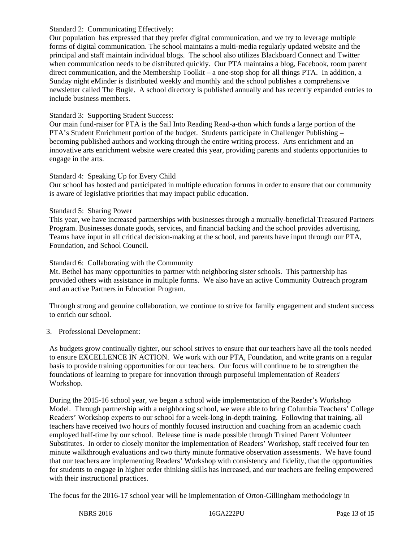#### Standard 2: Communicating Effectively:

Our population has expressed that they prefer digital communication, and we try to leverage multiple forms of digital communication. The school maintains a multi-media regularly updated website and the principal and staff maintain individual blogs. The school also utilizes Blackboard Connect and Twitter when communication needs to be distributed quickly. Our PTA maintains a blog, Facebook, room parent direct communication, and the Membership Toolkit – a one-stop shop for all things PTA. In addition, a Sunday night eMinder is distributed weekly and monthly and the school publishes a comprehensive newsletter called The Bugle. A school directory is published annually and has recently expanded entries to include business members.

#### Standard 3: Supporting Student Success:

Our main fund-raiser for PTA is the Sail Into Reading Read-a-thon which funds a large portion of the PTA's Student Enrichment portion of the budget. Students participate in Challenger Publishing – becoming published authors and working through the entire writing process. Arts enrichment and an innovative arts enrichment website were created this year, providing parents and students opportunities to engage in the arts.

#### Standard 4: Speaking Up for Every Child

Our school has hosted and participated in multiple education forums in order to ensure that our community is aware of legislative priorities that may impact public education.

#### Standard 5: Sharing Power

This year, we have increased partnerships with businesses through a mutually-beneficial Treasured Partners Program. Businesses donate goods, services, and financial backing and the school provides advertising. Teams have input in all critical decision-making at the school, and parents have input through our PTA, Foundation, and School Council.

#### Standard 6: Collaborating with the Community

Mt. Bethel has many opportunities to partner with neighboring sister schools. This partnership has provided others with assistance in multiple forms. We also have an active Community Outreach program and an active Partners in Education Program.

Through strong and genuine collaboration, we continue to strive for family engagement and student success to enrich our school.

### 3. Professional Development:

As budgets grow continually tighter, our school strives to ensure that our teachers have all the tools needed to ensure EXCELLENCE IN ACTION. We work with our PTA, Foundation, and write grants on a regular basis to provide training opportunities for our teachers. Our focus will continue to be to strengthen the foundations of learning to prepare for innovation through purposeful implementation of Readers' Workshop.

During the 2015-16 school year, we began a school wide implementation of the Reader's Workshop Model. Through partnership with a neighboring school, we were able to bring Columbia Teachers' College Readers' Workshop experts to our school for a week-long in-depth training. Following that training, all teachers have received two hours of monthly focused instruction and coaching from an academic coach employed half-time by our school. Release time is made possible through Trained Parent Volunteer Substitutes. In order to closely monitor the implementation of Readers' Workshop, staff received four ten minute walkthrough evaluations and two thirty minute formative observation assessments. We have found that our teachers are implementing Readers' Workshop with consistency and fidelity, that the opportunities for students to engage in higher order thinking skills has increased, and our teachers are feeling empowered with their instructional practices.

The focus for the 2016-17 school year will be implementation of Orton-Gillingham methodology in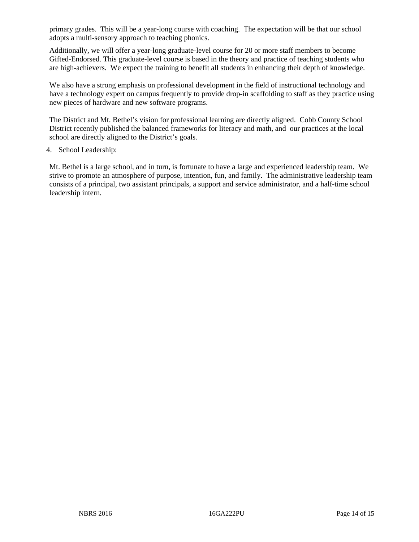primary grades. This will be a year-long course with coaching. The expectation will be that our school adopts a multi-sensory approach to teaching phonics.

Additionally, we will offer a year-long graduate-level course for 20 or more staff members to become Gifted-Endorsed. This graduate-level course is based in the theory and practice of teaching students who are high-achievers. We expect the training to benefit all students in enhancing their depth of knowledge.

We also have a strong emphasis on professional development in the field of instructional technology and have a technology expert on campus frequently to provide drop-in scaffolding to staff as they practice using new pieces of hardware and new software programs.

The District and Mt. Bethel's vision for professional learning are directly aligned. Cobb County School District recently published the balanced frameworks for literacy and math, and our practices at the local school are directly aligned to the District's goals.

#### 4. School Leadership:

Mt. Bethel is a large school, and in turn, is fortunate to have a large and experienced leadership team. We strive to promote an atmosphere of purpose, intention, fun, and family. The administrative leadership team consists of a principal, two assistant principals, a support and service administrator, and a half-time school leadership intern.